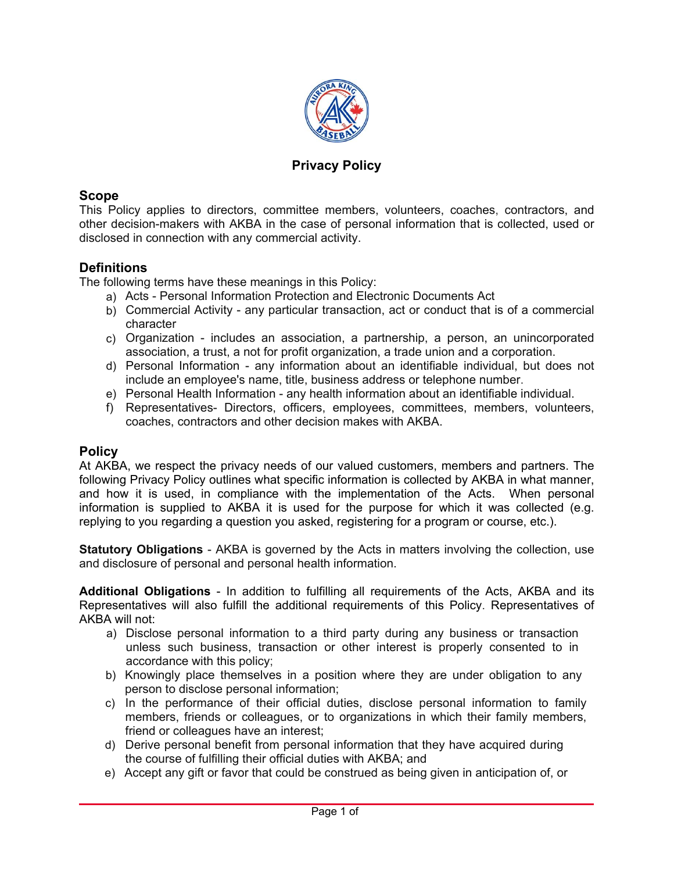

### **Privacy Policy**

#### **Scope**

This Policy applies to directors, committee members, volunteers, coaches, contractors, and other decision-makers with AKBA in the case of personal information that is collected, used or disclosed in connection with any commercial activity.

#### **Definitions**

The following terms have these meanings in this Policy:

- a) Acts Personal Information Protection and Electronic Documents Act
- b) Commercial Activity any particular transaction, act or conduct that is of a commercial character
- c) Organization includes an association, a partnership, a person, an unincorporated association, a trust, a not for profit organization, a trade union and a corporation.
- d) Personal Information any information about an identifiable individual, but does not include an employee's name, title, business address or telephone number.
- e) Personal Health Information any health information about an identifiable individual.
- f) Representatives- Directors, officers, employees, committees, members, volunteers, coaches, contractors and other decision makes with AKBA.

#### **Policy**

At AKBA, we respect the privacy needs of our valued customers, members and partners. The following Privacy Policy outlines what specific information is collected by AKBA in what manner, and how it is used, in compliance with the implementation of the Acts. When personal information is supplied to  $AKBA$  it is used for the purpose for which it was collected (e.g. replying to you regarding a question you asked, registering for a program or course, etc.).

**Statutory Obligations** - AKBA is governed by the Acts in matters involving the collection, use and disclosure of personal and personal health information.

**Additional Obligations** - In addition to fulfilling all requirements of the Acts, AKBA and its Representatives will also fulfill the additional requirements of this Policy. Representatives of AKBA will not:

- a) Disclose personal information to a third party during any business or transaction unless such business, transaction or other interest is properl\ consented to in accordance with this policy;
- b) Knowingly place themselves in a position where they are under obligation to any person to disclose personal information;
- c) In the performance of their official duties, disclose personal information to family members, friends or colleagues, or to organizations in which their family members, friend or colleagues have an interest;
- d) Derive personal benefit from personal information that they have acquired during the course of fulfilling their official duties with AKBA; and
- e) Accept any gift or favor that could be construed as being given in anticipation of, or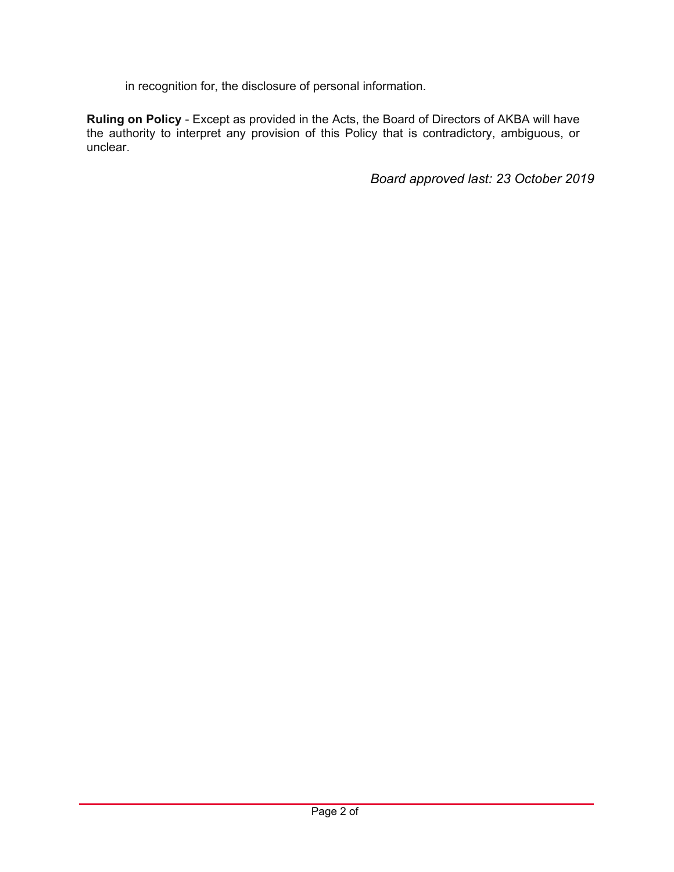in recognition for, the disclosure of personal information.

Ruling on Policy - Except as provided in the Acts, the Board of Directors of AKBA will have the authority to interpret any provision of this Policy that is contradictory, ambiguous, or unclear.

Board approved last: 23 October 2019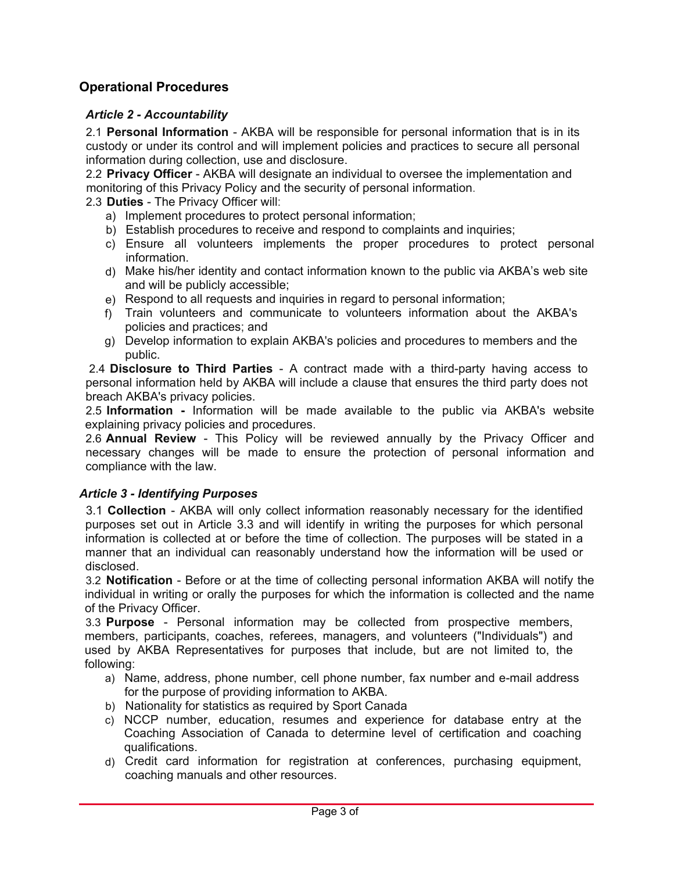# **Operational Procedures**

### **Article 2 - Accountability**

2.1 **Personal Information** - AKBA will be responsible for personal information that is in its custody or under its control and will implement policies and practices to secure all personal information during collection, use and disclosure.

2.2 **Privacy Officer** - AKBA will designate an individual to oversee the implementation and monitoring of this Privacy Policy and the security of personal information.

2.3 **Duties** - The Privacy Officer will:

- a) Implement procedures to protect personal information;
- b) Establish procedures to receive and respond to complaints and inquiries;
- c) Ensure all volunteers implements the proper procedures to protect personal information.
- d) Make his/her identity and contact information known to the public via AKBA's web site and will be publicly accessible;
- e) Respond to all requests and inquiries in regard to personal information;
- f) Train volunteers and communicate to volunteers information about the AKBA's policies and practices; and
- g) Develop information to explain AKBA's policies and procedures to members and the public.

2.4 **Disclosure to Third Parties** - A contract made with a third-party having access to personal information held by AKBA will include a clause that ensures the third party does not breach AKBA's privacy policies.

2.5 **Information** - Information will be made available to the public via AKBA's website explaining privacy policies and procedures.

2.6 **Annual Review** - This Policy will be reviewed annually by the Privacy Officer and necessary changes will be made to ensure the protection of personal information and compliance with the law.

#### **Article 3 - Identifying Purposes**

3.1 **Collection** - AKBA will only collect information reasonably necessary for the identified purposes set out in Article 3.3 and will identify in writing the purposes for which personal information is collected at or before the time of collection. The purposes will be stated in a manner that an individual can reasonably understand how the information will be used or disclosed.

3.2 **Notification** - Before or at the time of collecting personal information AKBA will notify the individual in writing or orally the purposes for which the information is collected and the name of the Privacy Officer.

3.3 **Purpose** - Personal information may be collected from prospective members, members, participants, coaches, referees, managers, and volunteers ("Individuals") and used by AKBA Representatives for purposes that include, but are not limited to, the following:

- a) Name, address, phone number, cell phone number, fax number and e-mail address for the purpose of providing information to AKBA.
- b) Nationality for statistics as required by Sport Canada
- $c)$  NCCP number, education, resumes and experience for database entry at the Coaching Association of Canada to determine level of certification and coaching qualifications.
- d) Credit card information for registration at conferences, purchasing equipment, coaching manuals and other resources.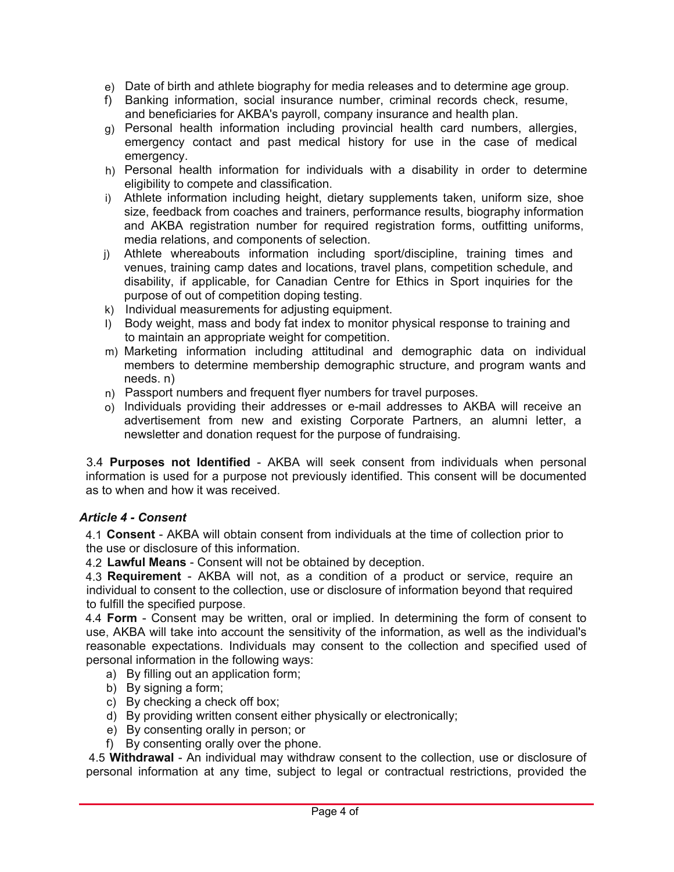- e) Date of birth and athlete biography for media releases and to determine age group.
- f) Banking information, social insurance number, criminal records check, resume, and beneficiaries for AKBA's payroll, company insurance and health plan.
- g) Personal health information including provincial health card numbers, allergies, emergency contact and past medical history for use in the case of medical emergency.
- h) Personal health information for individuals with a disability in order to determine eligibility to compete and classification.
- i) Athlete information including height, dietary supplements taken, uniform size, shoe size, feedback from coaches and trainers, performance results, biography information and AKBA registration number for required registration forms, outfitting uniforms, media relations, and components of selection.
- j) Athlete whereabouts information including sport/discipline, training times and venues, training camp dates and locations, travel plans, competition schedule, and disabilit\, if applicable, for Canadian Centre for Ethics in Sport inquiries for the purpose of out of competition doping testing.
- k) Individual measurements for adjusting equipment.
- I) Body weight, mass and body fat index to monitor physical response to training and to maintain an appropriate weight for competition.
- m) Marketing information including attitudinal and demographic data on individual members to determine membership demographic structure, and program wants and needs. n)
- n) Passport numbers and frequent flyer numbers for travel purposes.
- o) Individuals providing their addresses or e-mail addresses to AKBA will receive an advertisement from new and existing Corporate Partners, an alumni letter, a newsletter and donation request for the purpose of fundraising.

3.4 **Purposes not Identified** - AKBA will seek consent from individuals when personal information is used for a purpose not previously identified. This consent will be documented as to when and how it was received.

### **Article 4 - Consent**

4.1 Consent - AKBA will obtain consent from individuals at the time of collection prior to the use or disclosure of this information.

4.2 **Lawful Means** - Consent will not be obtained by deception.

4.3 **Requirement** - AKBA will not, as a condition of a product or service, require an individual to consent to the collection, use or disclosure of information beyond that required to fulfill the specified purpose.

4.4 **Form** - Consent may be written, oral or implied. In determining the form of consent to use, AKBA will take into account the sensitivity of the information, as well as the individual's reasonable expectations. Individuals may consent to the collection and specified used of personal information in the following ways:

- a) By filling out an application form;
- b) By signing a form;
- c) By checking a check off box;
- d) By providing written consent either physically or electronically;
- e) By consenting orally in person; or
- f) By consenting orally over the phone.

4.5 Withdrawal - An individual may withdraw consent to the collection, use or disclosure of personal information at any time, subject to legal or contractual restrictions, provided the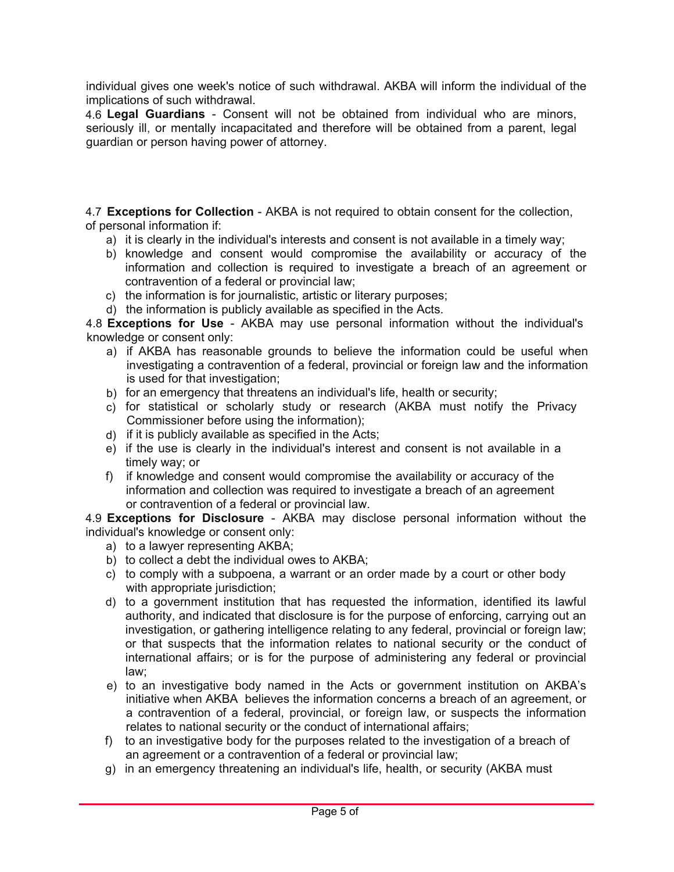individual gives one week's notice of such withdrawal. AKBA will inform the individual of the implications of such withdrawal.

4.6 **Legal Guardians** - Consent will not be obtained from individual who are minors, seriously ill, or mentally incapacitated and therefore will be obtained from a parent, legal quardian or person having power of attorney.

4.7 **Exceptions for Collection** - AKBA is not required to obtain consent for the collection, of personal information if:

- a) it is clearly in the individual's interests and consent is not available in a timely way:
- b) knowledge and consent would compromise the availability or accuracy of the information and collection is required to investigate a breach of an agreement or contravention of a federal or provincial law;
- c) the information is for journalistic, artistic or literary purposes;
- d) the information is publicly available as specified in the Acts.

4.8 **Exceptions for Use** - AKBA may use personal information without the individual's knowledge or consent only:

- a) if AKBA has reasonable grounds to believe the information could be useful when investigating a contravention of a federal, provincial or foreign law and the information is used for that investigation;
- b) for an emergency that threatens an individual's life, health or security;
- c) for statistical or scholarly study or research (AKBA must notify the Privacy Commissioner before using the information);
- d) if it is publicly available as specified in the Acts;
- e) if the use is clearly in the individual's interest and consent is not available in a timely way: or
- f) if knowledge and consent would compromise the availability or accuracy of the information and collection was required to investigate a breach of an agreement or contravention of a federal or provincial law.

4.9 **Exceptions for Disclosure** - AKBA may disclose personal information without the individual's knowledge or consent only:

- a) to a lawyer representing AKBA;
- b) to collect a debt the individual owes to AKBA;
- c) to comply with a subpoena, a warrant or an order made by a court or other body with appropriate jurisdiction;
- d) to a government institution that has requested the information, identified its lawful authority, and indicated that disclosure is for the purpose of enforcing, carrying out an investigation, or gathering intelligence relating to any federal, provincial or foreign law; or that suspects that the information relates to national security or the conduct of international affairs; or is for the purpose of administering any federal or provincial law:
- e) to an investigative body named in the Acts or government institution on AKBA's initiative when AKBA believes the information concerns a breach of an agreement, or a contravention of a federal, provincial, or foreign law, or suspects the information relates to national security or the conduct of international affairs;
- f) to an investigative body for the purposes related to the investigation of a breach of an agreement or a contravention of a federal or provincial law;
- g) in an emergency threatening an individual's life, health, or security (AKBA must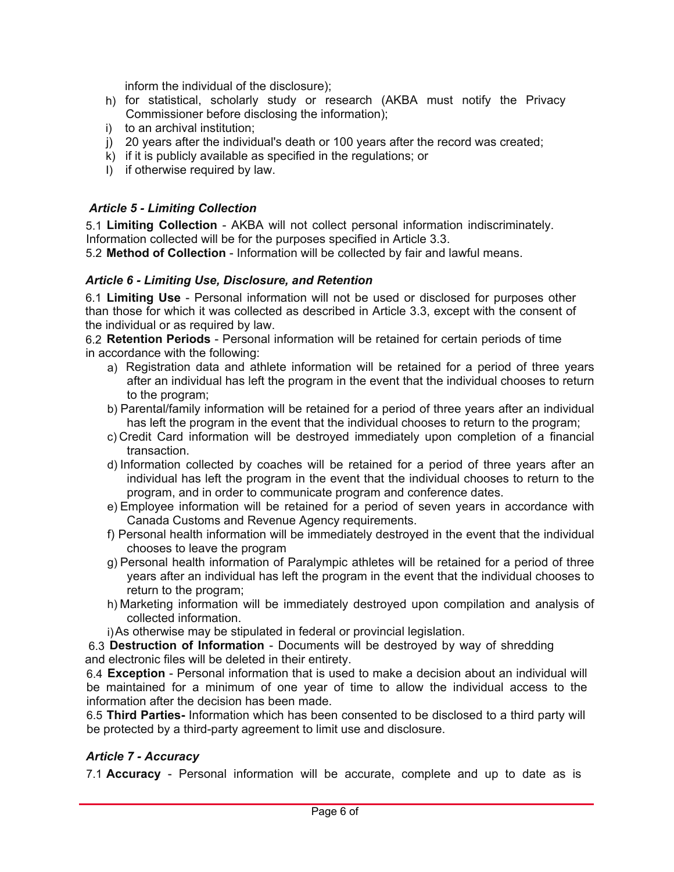inform the individual of the disclosure);

- h) for statistical, scholarly study or research (AKBA must notify the Privacy Commissioner before disclosing the information);
- i) to an archival institution;
- j) 20 years after the individual's death or 100 years after the record was created;
- $k)$  if it is publicly available as specified in the regulations; or
- I) if otherwise required by law.

### **Article 5 - Limiting Collection**

5.1 **Limiting Collection** - AKBA will not collect personal information indiscriminately. Information collected will be for the purposes specified in Article 3.3.

5.2 Method of Collection - Information will be collected by fair and lawful means.

#### Article 6 - Limiting Use, Disclosure, and Retention

6.1 **Limiting Use** - Personal information will not be used or disclosed for purposes other than those for which it was collected as described in Article 3.3, except with the consent of the individual or as required by law.

6.2 **Retention Periods** - Personal information will be retained for certain periods of time in accordance with the following:

- a) Registration data and athlete information will be retained for a period of three years after an individual has left the program in the event that the individual chooses to return to the program;
- b) Parental/family information will be retained for a period of three years after an individual has left the program in the event that the individual chooses to return to the program;
- c) Credit Card information will be destroyed immediately upon completion of a financial transaction.
- d) Information collected by coaches will be retained for a period of three years after an individual has left the program in the event that the individual chooses to return to the program, and in order to communicate program and conference dates.
- e) Employee information will be retained for a period of seven years in accordance with Canada Customs and Revenue Agenc\ requirements.
- f) Personal health information will be immediately destroyed in the event that the individual chooses to leave the program
- g) Personal health information of Paralympic athletes will be retained for a period of three \ears after an individual has left the program in the event that the individual chooses to return to the program;
- h) Marketing information will be immediately destroyed upon compilation and analysis of collected information.
- i) As otherwise may be stipulated in federal or provincial legislation.

6.3 **Destruction of Information** - Documents will be destroyed by way of shredding and electronic files will be deleted in their entirety.

6.4 **Exception** - Personal information that is used to make a decision about an individual will be maintained for a minimum of one year of time to allow the individual access to the information after the decision has been made.

6.5 Third Parties- Information which has been consented to be disclosed to a third party will be protected by a third-party agreement to limit use and disclosure.

#### **Article 7 - Accuracy**

7.1 **Accuracy** - Personal information will be accurate, complete and up to date as is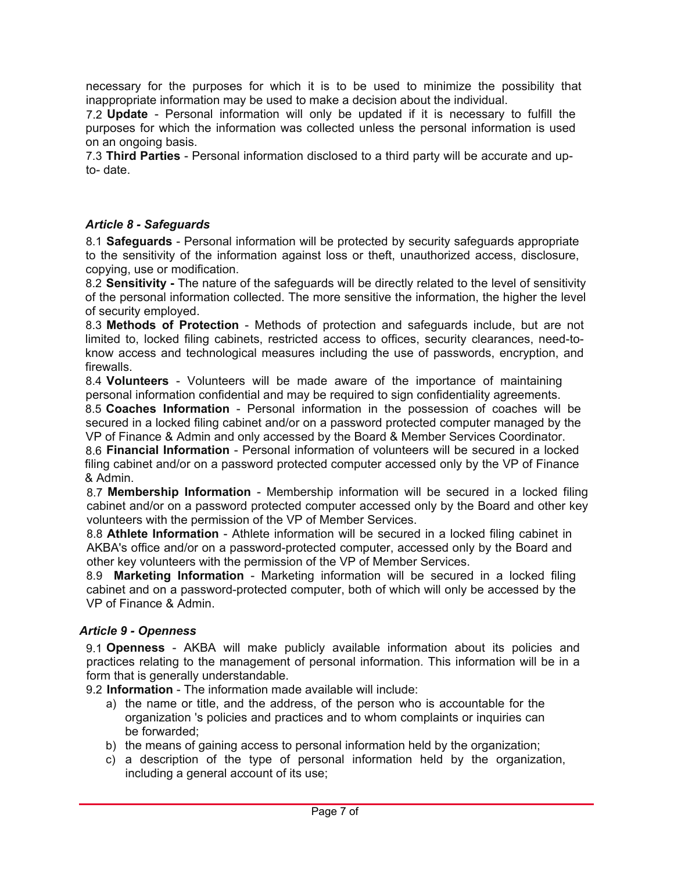necessary for the purposes for which it is to be used to minimize the possibility that inappropriate information may be used to make a decision about the individual.

7.2 **Update** - Personal information will only be updated if it is necessary to fulfill the purposes for which the information was collected unless the personal information is used on an ongoing basis.

7.3 **Third Parties** - Personal information disclosed to a third party will be accurate and upto- date.

#### **Article 8 - Safeguards**

8.1 **Safeguards** - Personal information will be protected by security safeguards appropriate to the sensitivity of the information against loss or theft, unauthorized access, disclosure, copying, use or modification.

8.2 **Sensitivity -** The nature of the safeguards will be directly related to the level of sensitivity of the personal information collected. The more sensitive the information, the higher the level of security employed.

8.3 Methods of Protection - Methods of protection and safeguards include, but are not limited to, locked filing cabinets, restricted access to offices, security clearances, need-toknow access and technological measures including the use of passwords, encryption, and firewalls

8.4 Volunteers - Volunteers will be made aware of the importance of maintaining personal information confidential and may be required to sign confidentiality agreements.

8.5 **Coaches Information** - Personal information in the possession of coaches will be secured in a locked filing cabinet and/or on a password protected computer managed by the VP of Finance & Admin and only accessed by the Board & Member Services Coordinator.

8.6 **Financial Information** - Personal information of volunteers will be secured in a locked filing cabinet and/or on a password protected computer accessed only by the VP of Finance & Admin.

8.7 **Membership Information** - Membership information will be secured in a locked filing cabinet and/or on a password protected computer accessed only by the Board and other key volunteers with the permission of the VP of Member Services.

8.8 **Athlete Information** - Athlete information will be secured in a locked filing cabinet in AKBA's office and/or on a password-protected computer, accessed only by the Board and other key volunteers with the permission of the VP of Member Services.

8.9 **Marketing Information** - Marketing information will be secured in a locked filing cabinet and on a password-protected computer, both of which will only be accessed by the VP of Finance & Admin.

#### **Article 9 - Openness**

9.1 Openness - AKBA will make publicly available information about its policies and practices relating to the management of personal information. This information will be in a form that is generally understandable.

9.2 **Information** - The information made available will include:

- a) the name or title, and the address, of the person who is accountable for the organization 's policies and practices and to whom complaints or inquiries can be forwarded:
- b) the means of gaining access to personal information held by the organization;
- c) a description of the type of personal information held by the organization, including a general account of its use;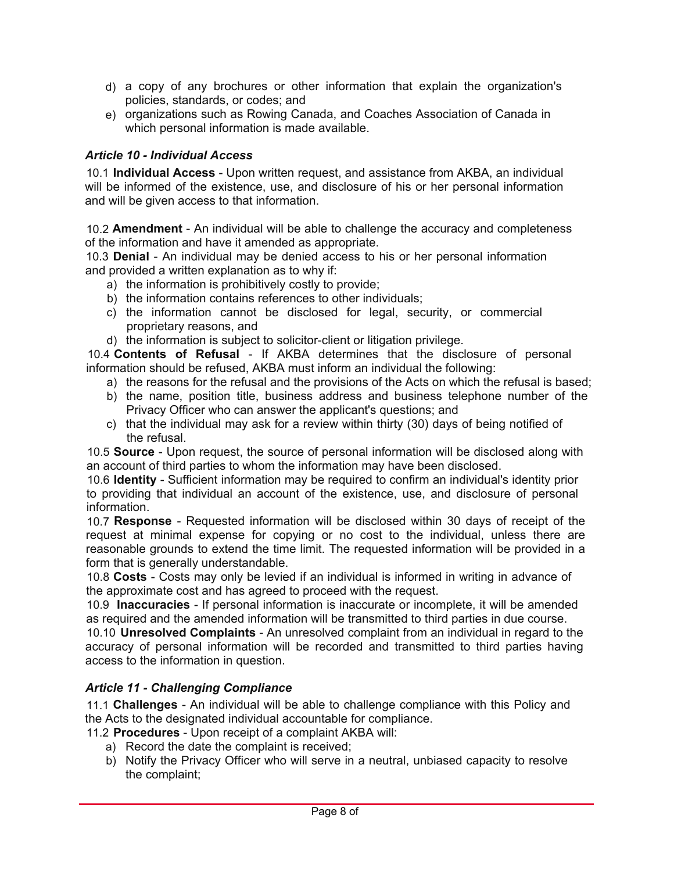- $d)$  a copy of any brochures or other information that explain the organization's policies, standards, or codes; and
- e) organizations such as Rowing Canada, and Coaches Association of Canada in which personal information is made available.

## **Article 10 - Individual Access**

10.1 **Individual Access** - Upon written request, and assistance from AKBA, an individual will be informed of the existence, use, and disclosure of his or her personal information and will be given access to that information.

10.2 **Amendment** - An individual will be able to challenge the accuracy and completeness of the information and have it amended as appropriate.

10.3 **Denial** - An individual may be denied access to his or her personal information and provided a written explanation as to why if:

- a) the information is prohibitively costly to provide;
- b) the information contains references to other individuals;
- c) the information cannot be disclosed for legal, security, or commercial proprietary reasons, and
- d) the information is subject to solicitor-client or litigation privilege.

10.4 **Contents of Refusal** - If AKBA determines that the disclosure of personal information should be refused, AKBA must inform an individual the following:

- a) the reasons for the refusal and the provisions of the Acts on which the refusal is based;
- b) the name, position title, business address and business telephone number of the Privacy Officer who can answer the applicant's questions; and
- c) that the individual may ask for a review within thirty  $(30)$  days of being notified of the refusal.

10.5 **Source** - Upon request, the source of personal information will be disclosed along with an account of third parties to whom the information may have been disclosed.

10.6 **Identity** - Sufficient information may be required to confirm an individual's identity prior to providing that individual an account of the existence, use, and disclosure of personal information.

10.7 **Response** - Requested information will be disclosed within 30 days of receipt of the request at minimal expense for copying or no cost to the individual, unless there are reasonable grounds to extend the time limit. The requested information will be provided in a form that is generally understandable.

10.8 **Costs** - Costs may only be levied if an individual is informed in writing in advance of the approximate cost and has agreed to proceed with the request.

10.9 **Inaccuracies** - If personal information is inaccurate or incomplete, it will be amended as required and the amended information will be transmitted to third parties in due course.

10.10 **Unresolved Complaints** - An unresolved complaint from an individual in regard to the accuracy of personal information will be recorded and transmitted to third parties having access to the information in question.

### **Article 11 - Challenging Compliance**

11.1 **Challenges** - An individual will be able to challenge compliance with this Policy and the Acts to the designated individual accountable for compliance.

11.2 **Procedures** - Upon receipt of a complaint AKBA will:

- a) Record the date the complaint is received;
- b) Notify the Privacy Officer who will serve in a neutral, unbiased capacity to resolve the complaint;